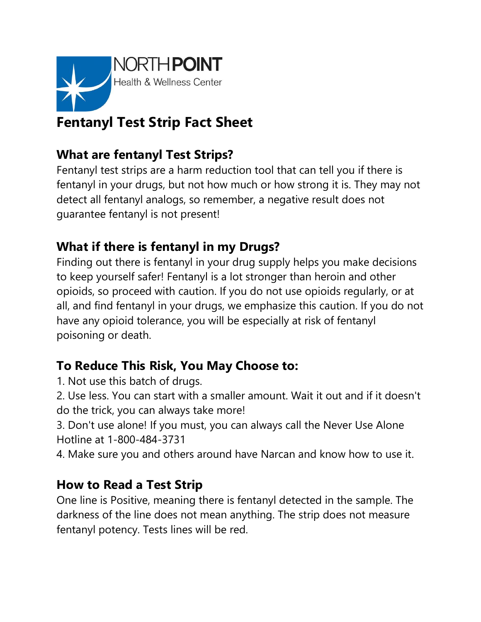

# **Fentanyl Test Strip Fact Sheet**

# **What are fentanyl Test Strips?**

Fentanyl test strips are a harm reduction tool that can tell you if there is fentanyl in your drugs, but not how much or how strong it is. They may not detect all fentanyl analogs, so remember, a negative result does not guarantee fentanyl is not present!

# **What if there is fentanyl in my Drugs?**

Finding out there is fentanyl in your drug supply helps you make decisions to keep yourself safer! Fentanyl is a lot stronger than heroin and other opioids, so proceed with caution. If you do not use opioids regularly, or at all, and find fentanyl in your drugs, we emphasize this caution. If you do not have any opioid tolerance, you will be especially at risk of fentanyl poisoning or death.

# **To Reduce This Risk, You May Choose to:**

- 1. Not use this batch of drugs.
- 2. Use less. You can start with a smaller amount. Wait it out and if it doesn't do the trick, you can always take more!
- 3. Don't use alone! If you must, you can always call the Never Use Alone Hotline at 1-800-484-3731
- 4. Make sure you and others around have Narcan and know how to use it.

#### **How to Read a Test Strip**

One line is Positive, meaning there is fentanyl detected in the sample. The darkness of the line does not mean anything. The strip does not measure fentanyl potency. Tests lines will be red.